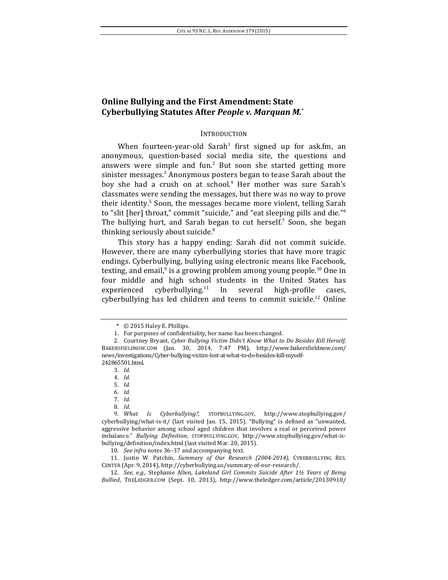# **Online Bullying and the First Amendment: State Cyberbullying Statutes After** *People v. Marquan M.***\***

### INTRODUCTION

When fourteen-year-old Sarah<sup>1</sup> first signed up for ask.fm, an anonymous, question-based social media site, the questions and answers were simple and fun.<sup>2</sup> But soon she started getting more sinister messages.<sup>3</sup> Anonymous posters began to tease Sarah about the boy she had a crush on at school.<sup>4</sup> Her mother was sure Sarah's classmates were sending the messages, but there was no way to prove their identity.<sup>5</sup> Soon, the messages became more violent, telling Sarah to "slit [her] throat," commit "suicide," and "eat sleeping pills and die."<sup>6</sup> The bullying hurt, and Sarah began to cut herself.<sup>7</sup> Soon, she began thinking seriously about suicide. $8$ 

This story has a happy ending: Sarah did not commit suicide. However, there are many cyberbullying stories that have more tragic endings. Cyberbullying, bullying using electronic means like Facebook, texting, and email, $9$  is a growing problem among young people.<sup>10</sup> One in four middle and high school students in the United States has experienced cyberbullying.<sup>11</sup> In several high-profile cases, cyberbullying has led children and teens to commit suicide.<sup>12</sup> Online

<sup>\*</sup> © 2015 Haley E. Phillips.

<sup>1.</sup> For purposes of confidentiality, her name has been changed.

<sup>2.</sup> Courtney Bryant, Cyber Bullying Victim Didn't Know What to Do Besides Kill Herself, BAKERSFIELDNOW.COM (Jan. 30, 2014, 7:47 PM), http://www.bakersfieldnow.com/ news/investigations/Cyber-bullying-victim-lost-at-what-to-do-besides-kill-myself-242865501.html.

<sup>3.</sup> *Id.*

<sup>4.</sup> *Id.*

<sup>5.</sup> *Id.*

<sup>6.</sup> *Id.*

<sup>7.</sup> *Id.*

<sup>8.</sup> *Id.*

<sup>9.</sup> What Is Cyberbullying?, STOPBULLYING.GOV, http://www.stopbullying.gov/ cyberbullying/what-is-it/ (last visited Jan. 15, 2015). "Bullying" is defined as "unwanted, aggressive behavior among school aged children that involves a real or perceived power imbalance." *Bullying Definition*, STOPBULLYING.GOV, http://www.stopbullying.gov/what-isbullying/definition/index.html (last visited Mar. 20, 2015).

<sup>10.</sup> *See infra* notes 36-37 and accompanying text.

<sup>11.</sup> Justin W. Patchin, *Summary of Our Research (2004-2014)*, CYBERBULLYING RES. CENTER (Apr. 9, 2014), http://cyberbullying.us/summary-of-our-research/.

<sup>12.</sup> *See, e.g.*, Stephanie Allen, *Lakeland Girl Commits Suicide After* 1½ Years of Being *Bullied*, THELEDGER.COM (Sept. 10, 2013), http://www.theledger.com/article/20130910/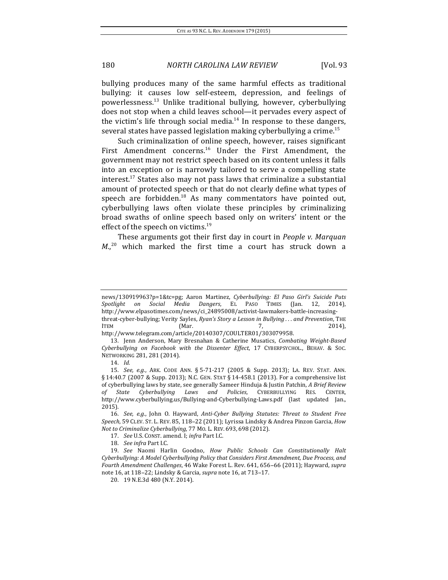bullying produces many of the same harmful effects as traditional bullying: it causes low self-esteem, depression, and feelings of powerlessness.<sup>13</sup> Unlike traditional bullying, however, cyberbullying does not stop when a child leaves school—it pervades every aspect of the victim's life through social media.<sup>14</sup> In response to these dangers, several states have passed legislation making cyberbullying a crime.<sup>15</sup>

Such criminalization of online speech, however, raises significant First Amendment concerns.<sup>16</sup> Under the First Amendment, the government may not restrict speech based on its content unless it falls into an exception or is narrowly tailored to serve a compelling state interest.<sup>17</sup> States also may not pass laws that criminalize a substantial amount of protected speech or that do not clearly define what types of speech are forbidden.<sup>18</sup> As many commentators have pointed out, cyberbullying laws often violate these principles by criminalizing broad swaths of online speech based only on writers' intent or the effect of the speech on victims.<sup>19</sup>

These arguments got their first day in court in *People v. Marquan*  $M<sub>1</sub>$ <sup>20</sup> which marked the first time a court has struck down a

news/130919963?p=1&tc=pg; Aaron Martinez, *Cyberbullying: El Paso Girl's Suicide Puts Spotlight on Social Media Dangers*, EL PASO TIMES (Jan. 12, 2014), http://www.elpasotimes.com/news/ci\_24895008/activist-lawmakers-battle-increasingthreat-cyber-bullying; Verity Sayles, *Ryan's Story a Lesson in Bullying ...* and Prevention, THE ITEM  $(Mar.$   $7,$   $2014$ ,

http://www.telegram.com/article/20140307/COULTER01/303079958.

<sup>13.</sup> Jenn Anderson, Mary Bresnahan & Catherine Musatics, *Combating Weight-Based Cyberbullying on Facebook with the Dissenter Effect*, 17 CYBERPSYCHOL., BEHAV. & SOC. NETWORKING 281, 281 (2014).

<sup>14.</sup> *Id.*

<sup>15.</sup> *See, e.g.*, ARK. CODE ANN. § 5-71-217 (2005 & Supp. 2013); LA. REV. STAT. ANN.  $\S$  14:40.7 (2007 & Supp. 2013); N.C. GEN. STAT  $\S$  14-458.1 (2013). For a comprehensive list of cyberbullying laws by state, see generally Sameer Hinduja & Justin Patchin, *A Brief Review of State Cyberbullying Laws and Policies*, CYBERBULLYING RES. CENTER, http://www.cyberbullying.us/Bullying-and-Cyberbullying-Laws.pdf (last updated Jan., 2015).

<sup>16.</sup> *See, e.g.*, John O. Hayward, *Anti-Cyber Bullying Statutes: Threat to Student Free* Speech, 59 CLEV. ST. L. REV. 85, 118−22 (2011); Lyrissa Lindsky & Andrea Pinzon Garcia, *How Not to Criminalize Cyberbullying,* 77 Mo. L. REV. 693, 698 (2012).

<sup>17.</sup> *See U.S. CONST. amend. I; infra Part I.C.* 

<sup>18.</sup> See infra Part I.C.

<sup>19.</sup> *See* Naomi Harlin Goodno, *How Public Schools Can Constitutionally Halt* Cyberbullying: A Model Cyberbullying Policy that Considers First Amendment, Due Process, and *Fourth Amendment Challenges*, 46 Wake Forest L. Rev. 641, 656−66 (2011); Hayward, *supra* note 16, at 118−22; Lindsky & Garcia, *supra* note 16, at 713-17.

<sup>20. 19</sup> N.E.3d 480 (N.Y. 2014).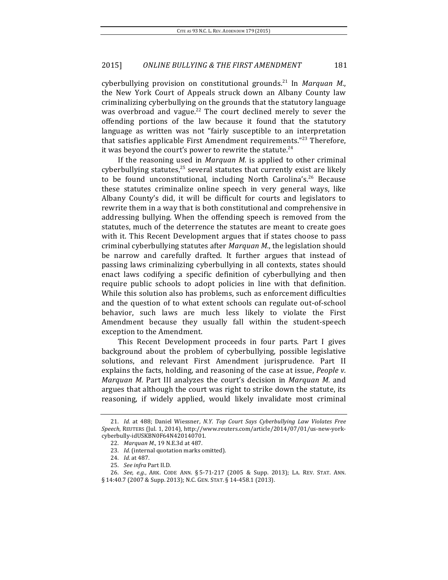cyberbullying provision on constitutional grounds.<sup>21</sup> In Marquan M., the New York Court of Appeals struck down an Albany County law criminalizing cyberbullying on the grounds that the statutory language was overbroad and vague.<sup>22</sup> The court declined merely to sever the offending portions of the law because it found that the statutory language as written was not "fairly susceptible to an interpretation that satisfies applicable First Amendment requirements."<sup>23</sup> Therefore, it was beyond the court's power to rewrite the statute.<sup>24</sup>

If the reasoning used in *Marquan M.* is applied to other criminal cyberbullying statutes, $25$  several statutes that currently exist are likely to be found unconstitutional, including North Carolina's.<sup>26</sup> Because these statutes criminalize online speech in very general ways, like Albany County's did, it will be difficult for courts and legislators to rewrite them in a way that is both constitutional and comprehensive in addressing bullying. When the offending speech is removed from the statutes, much of the deterrence the statutes are meant to create goes with it. This Recent Development argues that if states choose to pass criminal cyberbullying statutes after *Marquan M.*, the legislation should be narrow and carefully drafted. It further argues that instead of passing laws criminalizing cyberbullying in all contexts, states should enact laws codifying a specific definition of cyberbullying and then require public schools to adopt policies in line with that definition. While this solution also has problems, such as enforcement difficulties and the question of to what extent schools can regulate out-of-school behavior, such laws are much less likely to violate the First Amendment because they usually fall within the student-speech exception to the Amendment.

This Recent Development proceeds in four parts. Part I gives background about the problem of cyberbullying, possible legislative solutions, and relevant First Amendment jurisprudence. Part II explains the facts, holding, and reasoning of the case at issue, *People v. Marquan M.* Part III analyzes the court's decision in *Marquan M.* and argues that although the court was right to strike down the statute, its reasoning, if widely applied, would likely invalidate most criminal

<sup>21.</sup> *Id.* at 488; Daniel Wiessner, N.Y. Top Court Says Cyberbullying Law Violates Free *Speech*, REUTERS (Jul. 1, 2014), http://www.reuters.com/article/2014/07/01/us-new-yorkcyberbully-idUSKBN0F64N420140701.

<sup>22.</sup> *Marquan M.*, 19 N.E.3d at 487.

<sup>23.</sup> *Id.* (internal quotation marks omitted).

<sup>24.</sup> *Id.* at 487.

<sup>25.</sup> *See infra* Part II.D.

<sup>26.</sup> *See, e.g.*, ARK. CODE ANN. § 5-71-217 (2005 & Supp. 2013); LA. REV. STAT. ANN. § 14:40.7 (2007 & Supp. 2013); N.C. GEN. STAT. § 14-458.1 (2013).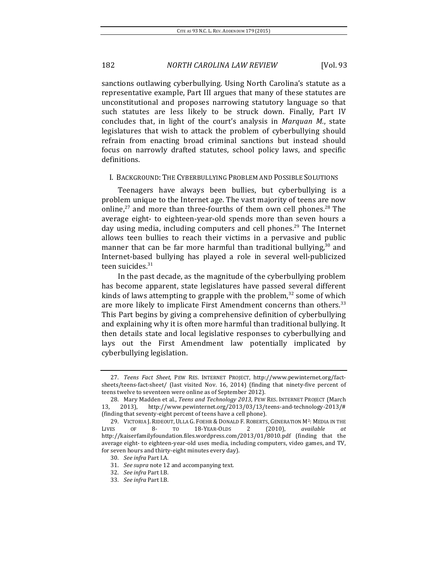sanctions outlawing cyberbullying. Using North Carolina's statute as a representative example, Part III argues that many of these statutes are unconstitutional and proposes narrowing statutory language so that such statutes are less likely to be struck down. Finally, Part IV concludes that, in light of the court's analysis in *Marquan M.*, state legislatures that wish to attack the problem of cyberbullying should refrain from enacting broad criminal sanctions but instead should focus on narrowly drafted statutes, school policy laws, and specific definitions.

### I. BACKGROUND: THE CYBERBULLYING PROBLEM AND POSSIBLE SOLUTIONS

Teenagers have always been bullies, but cyberbullying is a problem unique to the Internet age. The vast majority of teens are now online,<sup>27</sup> and more than three-fourths of them own cell phones.<sup>28</sup> The average eight- to eighteen-year-old spends more than seven hours a day using media, including computers and cell phones.<sup>29</sup> The Internet allows teen bullies to reach their victims in a pervasive and public manner that can be far more harmful than traditional bullying, $30$  and Internet-based bullying has played a role in several well-publicized teen suicides.<sup>31</sup>

In the past decade, as the magnitude of the cyberbullying problem has become apparent, state legislatures have passed several different kinds of laws attempting to grapple with the problem, $32$  some of which are more likely to implicate First Amendment concerns than others.<sup>33</sup> This Part begins by giving a comprehensive definition of cyberbullying and explaining why it is often more harmful than traditional bullying. It then details state and local legislative responses to cyberbullying and lays out the First Amendment law potentially implicated by cyberbullying legislation.

<sup>27.</sup> *Teens Fact Sheet*, PEW RES. INTERNET PROJECT, http://www.pewinternet.org/factsheets/teens-fact-sheet/ (last visited Nov.  $16$ ,  $2014$ ) (finding that ninety-five percent of teens twelve to seventeen were online as of September 2012).

<sup>28.</sup> Mary Madden et al., *Teens and Technology 2013*, PEW RES. INTERNET PROJECT (March 13, 2013), http://www.pewinternet.org/2013/03/13/teens-and-technology-2013/# (finding that seventy-eight percent of teens have a cell phone).

<sup>29.</sup> VICTORIA J. RIDEOUT, ULLA G. FOEHR & DONALD F. ROBERTS, GENERATION M<sup>2</sup>: MEDIA IN THE LIVES OF 8- TO 18-YEAR-OLDS 2 (2010), *available at* http://kaiserfamilyfoundation.files.wordpress.com/2013/01/8010.pdf (finding that the average eight- to eighteen-year-old uses media, including computers, video games, and TV, for seven hours and thirty-eight minutes every day).

<sup>30.</sup> See infra Part I.A.

<sup>31.</sup> *See supra* note 12 and accompanying text.

<sup>32.</sup> *See infra* Part I.B.

<sup>33.</sup> See infra Part I.B.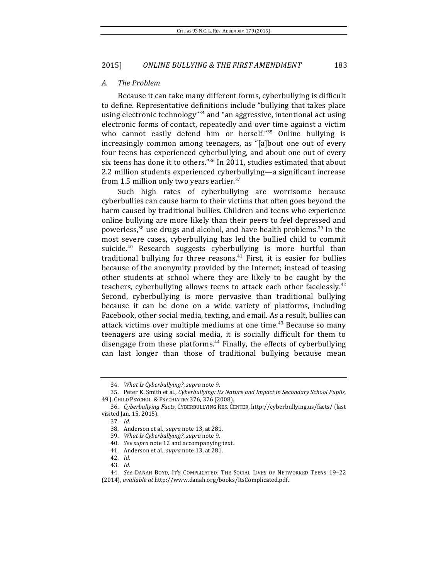#### *A. The Problem*

Because it can take many different forms, cyberbullying is difficult to define. Representative definitions include "bullying that takes place using electronic technology<sup>"34</sup> and "an aggressive, intentional act using electronic forms of contact, repeatedly and over time against a victim who cannot easily defend him or herself." $35$  Online bullying is increasingly common among teenagers, as "[a]bout one out of every four teens has experienced cyberbullying, and about one out of every six teens has done it to others." $36$  In 2011, studies estimated that about 2.2 million students experienced cyberbullying—a significant increase from 1.5 million only two years earlier. $37$ 

Such high rates of cyberbullying are worrisome because cyberbullies can cause harm to their victims that often goes beyond the harm caused by traditional bullies. Children and teens who experience online bullying are more likely than their peers to feel depressed and powerless,<sup>38</sup> use drugs and alcohol, and have health problems.<sup>39</sup> In the most severe cases, cyberbullying has led the bullied child to commit suicide. $40$  Research suggests cyberbullying is more hurtful than traditional bullying for three reasons. $41$  First, it is easier for bullies because of the anonymity provided by the Internet; instead of teasing other students at school where they are likely to be caught by the teachers, cyberbullying allows teens to attack each other facelessly.<sup>42</sup> Second, cyberbullying is more pervasive than traditional bullying because it can be done on a wide variety of platforms, including Facebook, other social media, texting, and email. As a result, bullies can attack victims over multiple mediums at one time.<sup>43</sup> Because so many teenagers are using social media, it is socially difficult for them to disengage from these platforms. $44$  Finally, the effects of cyberbullying can last longer than those of traditional bullying because mean

43. *Id.*

<sup>34.</sup> *What Is Cyberbullying?*, *supra* note 9.

<sup>35.</sup> Peter K. Smith et al., *Cyberbullying: Its Nature and Impact in Secondary School Pupils*, 49 J. CHILD PSYCHOL. & PSYCHIATRY 376, 376 (2008).

<sup>36.</sup> *Cyberbullying Facts*, CYBERBULLYING RES. CENTER, http://cyberbullying.us/facts/ (last visited Jan. 15, 2015).

<sup>37.</sup> *Id.*

<sup>38.</sup> Anderson et al., *supra* note 13, at 281.

<sup>39.</sup> *What Is Cyberbullying?*, *supra* note 9.

<sup>40.</sup> See supra note 12 and accompanying text.

<sup>41.</sup> Anderson et al., *supra* note 13, at 281.

<sup>42.</sup> *Id.*

<sup>44.</sup> *See* DANAH BOYD, IT'S COMPLICATED: THE SOCIAL LIVES OF NETWORKED TEENS 19–22 (2014), *available at* http://www.danah.org/books/ItsComplicated.pdf.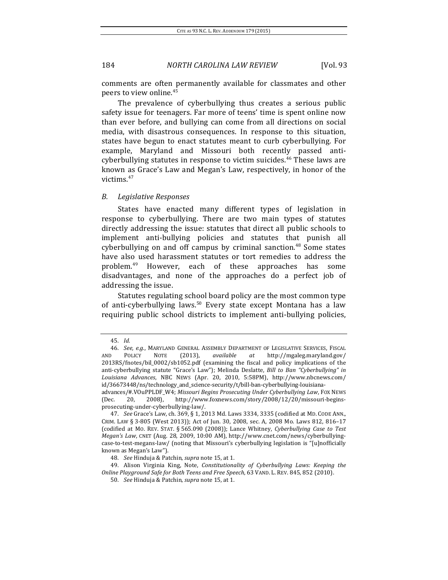comments are often permanently available for classmates and other peers to view online.<sup>45</sup>

The prevalence of cyberbullying thus creates a serious public safety issue for teenagers. Far more of teens' time is spent online now than ever before, and bullying can come from all directions on social media, with disastrous consequences. In response to this situation, states have begun to enact statutes meant to curb cyberbullying. For example, Maryland and Missouri both recently passed anticyberbullying statutes in response to victim suicides.<sup>46</sup> These laws are known as Grace's Law and Megan's Law, respectively, in honor of the victims. 47

#### *B. Legislative Responses*

States have enacted many different types of legislation in response to cyberbullying. There are two main types of statutes directly addressing the issue: statutes that direct all public schools to implement anti-bullying policies and statutes that punish all cyberbullying on and off campus by criminal sanction.<sup>48</sup> Some states have also used harassment statutes or tort remedies to address the problem.<sup>49</sup> However, each of these approaches has some disadvantages, and none of the approaches do a perfect job of addressing the issue.

Statutes regulating school board policy are the most common type of anti-cyberbullying laws.<sup>50</sup> Every state except Montana has a law requiring public school districts to implement anti-bullying policies,

<sup>45.</sup> *Id.*

<sup>46.</sup> *See, e.g.*, MARYLAND GENERAL ASSEMBLY DEPARTMENT OF LEGISLATIVE SERVICES, FISCAL AND POLICY NOTE (2013), *available at* http://mgaleg.maryland.gov/ 2013RS/fnotes/bil\_0002/sb1052.pdf (examining the fiscal and policy implications of the anti-cyberbullying statute "Grace's Law"); Melinda Deslatte, *Bill to Ban "Cyberbullying" in Louisiana Advances*, NBC NEWS (Apr. 20, 2010, 5:58PM), http://www.nbcnews.com/  $id/36673448/ns/technology$  and science-security/t/bill-ban-cyberbullying-louisiana-

advances/#.VOuPPLDF\_W4; Missouri Begins Prosecuting Under Cyberbullying Law, FOX NEWS (Dec. 20, 2008), http://www.foxnews.com/story/2008/12/20/missouri-beginsprosecuting-under-cyberbullying-law/. 

<sup>47.</sup> *See Grace's Law, ch.* 369, § 1, 2013 Md. Laws 3334, 3335 (codified at MD. CODE ANN., CRIM. LAW § 3-805 (West 2013)); Act of Jun. 30, 2008, sec. A, 2008 Mo. Laws 812, 816-17 (codified at Mo. REV. STAT. § 565.090 (2008)); Lance Whitney, *Cyberbullying Case to Test Megan's Law*, CNET (Aug. 28, 2009, 10:00 AM), http://www.cnet.com/news/cyberbullyingcase-to-test-megans-law/ (noting that Missouri's cyberbullying legislation is "[u]nofficially known as Megan's Law").

<sup>48.</sup> *See* Hinduja & Patchin, *supra* note 15, at 1.

<sup>49.</sup> Alison Virginia King, Note, *Constitutionality of Cyberbullying Laws: Keeping the Online Playground Safe for Both Teens and Free Speech*, 63 VAND. L. REV. 845, 852 (2010).

<sup>50.</sup> *See* Hinduja & Patchin, *supra* note 15, at 1.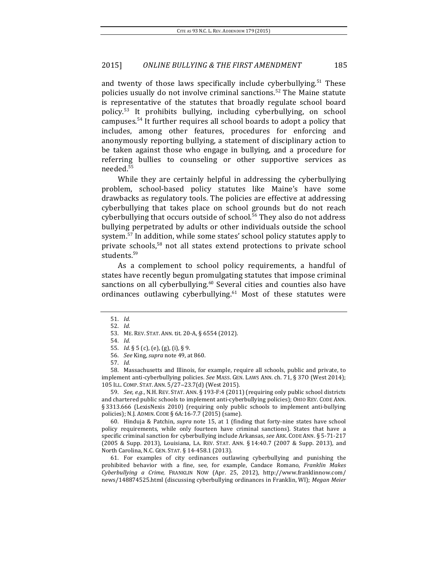and twenty of those laws specifically include cyberbullying.<sup>51</sup> These policies usually do not involve criminal sanctions.<sup>52</sup> The Maine statute is representative of the statutes that broadly regulate school board policy.<sup>53</sup> It prohibits bullying, including cyberbullying, on school campuses.<sup>54</sup> It further requires all school boards to adopt a policy that includes, among other features, procedures for enforcing and anonymously reporting bullying, a statement of disciplinary action to be taken against those who engage in bullying, and a procedure for referring bullies to counseling or other supportive services as needed.55

While they are certainly helpful in addressing the cyberbullying problem, school-based policy statutes like Maine's have some drawbacks as regulatory tools. The policies are effective at addressing cyberbullying that takes place on school grounds but do not reach cyberbullying that occurs outside of school.<sup>56</sup> They also do not address bullying perpetrated by adults or other individuals outside the school system.<sup>57</sup> In addition, while some states' school policy statutes apply to private schools,<sup>58</sup> not all states extend protections to private school students.<sup>59</sup>

As a complement to school policy requirements, a handful of states have recently begun promulgating statutes that impose criminal sanctions on all cyberbullying.<sup>60</sup> Several cities and counties also have ordinances outlawing cyberbullying. $61$  Most of these statutes were

58. Massachusetts and Illinois, for example, require all schools, public and private, to implement anti-cyberbullying policies. See MASS. GEN. LAWS ANN. ch. 71, § 370 (West 2014); 105 ILL. COMP. STAT. ANN. 5/27−23.7(d) (West 2015).

59. *See, e.g.*, N.H. REV. STAT. ANN. § 193-F:4 (2011) (requiring only public school districts and chartered public schools to implement anti-cyberbullying policies); OHIO REV. CODE ANN. § 3313.666 (LexisNexis 2010) (requiring only public schools to implement anti-bullying policies); N.J. ADMIN. CODE § 6A:16-7.7 (2015) (same).

60. Hinduja & Patchin, *supra* note 15, at 1 (finding that forty-nine states have school policy requirements, while only fourteen have criminal sanctions). States that have a specific criminal sanction for cyberbullying include Arkansas, see ARK. CODE ANN. § 5-71-217 (2005 & Supp. 2013), Louisiana, LA. REV. STAT. ANN. § 14:40.7 (2007 & Supp. 2013), and North Carolina, N.C. GEN. STAT. § 14-458.1 (2013).

61. For examples of city ordinances outlawing cyberbullying and punishing the prohibited behavior with a fine, see, for example, Candace Romano, *Franklin Makes Cyberbullying a Crime*, FRANKLIN NOW (Apr. 25, 2012), http://www.franklinnow.com/ news/148874525.html (discussing cyberbullying ordinances in Franklin, WI); *Megan Meier* 

<sup>51.</sup> *Id.*

<sup>52.</sup> *Id.*

<sup>53.</sup> ME. REV. STAT. ANN. tit. 20-A, § 6554 (2012).

<sup>54.</sup> *Id.*

<sup>55.</sup> *Id.* § 5 (c), (e), (g), (i), § 9.

<sup>56.</sup> *See* King, *supra* note 49, at 860.

<sup>57.</sup> *Id.*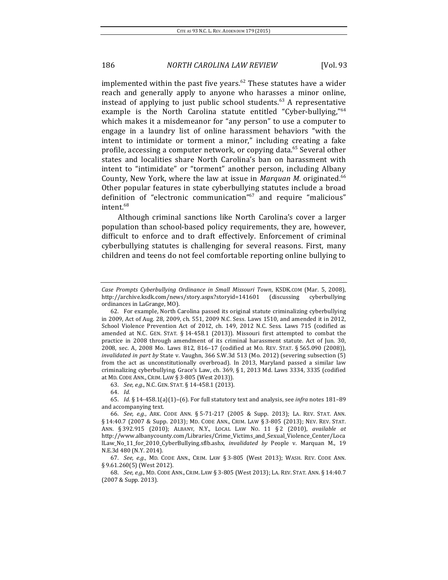implemented within the past five years.<sup>62</sup> These statutes have a wider reach and generally apply to anyone who harasses a minor online, instead of applying to just public school students. $63$  A representative example is the North Carolina statute entitled "Cyber-bullying," $64$ which makes it a misdemeanor for "any person" to use a computer to engage in a laundry list of online harassment behaviors "with the intent to intimidate or torment a minor," including creating a fake profile, accessing a computer network, or copying data.<sup>65</sup> Several other states and localities share North Carolina's ban on harassment with intent to "intimidate" or "torment" another person, including Albany County, New York, where the law at issue in *Marquan M.* originated.<sup>66</sup> Other popular features in state cyberbullying statutes include a broad definition of "electronic communication"<sup>67</sup> and require "malicious" intent.68

Although criminal sanctions like North Carolina's cover a larger population than school-based policy requirements, they are, however, difficult to enforce and to draft effectively. Enforcement of criminal cyberbullying statutes is challenging for several reasons. First, many children and teens do not feel comfortable reporting online bullying to

63. *See, e.g.*, N.C. GEN. STAT. § 14-458.1 (2013).

64. *Id.*

Case Prompts Cyberbullying Ordinance in Small Missouri Town, KSDK.COM (Mar. 5, 2008), http://archive.ksdk.com/news/story.aspx?storyid=141601 (discussing cyberbullying ordinances in LaGrange, MO).

<sup>62.</sup> For example, North Carolina passed its original statute criminalizing cyberbullying in 2009, Act of Aug. 28, 2009, ch. 551, 2009 N.C. Sess. Laws 1510, and amended it in 2012, School Violence Prevention Act of 2012, ch. 149, 2012 N.C. Sess. Laws 715 (codified as amended at N.C. GEN. STAT. § 14-458.1 (2013)). Missouri first attempted to combat the practice in 2008 through amendment of its criminal harassment statute. Act of Jun. 30, 2008, sec. A, 2008 Mo. Laws 812, 816-17 (codified at Mo. REV. STAT. § 565.090 (2008)), *invalidated in part by* State v. Vaughn, 366 S.W.3d 513 (Mo. 2012) (severing subsection (5) from the act as unconstitutionally overbroad). In 2013, Maryland passed a similar law criminalizing cyberbullying. Grace's Law, ch. 369, § 1, 2013 Md. Laws 3334, 3335 (codified at MD. CODE ANN., CRIM. LAW § 3-805 (West 2013)).

<sup>65.</sup> *Id.* § 14-458.1(a)(1)−(6). For full statutory text and analysis, see *infra* notes 181–89 and accompanying text.

<sup>66.</sup> *See, e.g.*, ARK. CODE ANN. § 5-71-217 (2005 & Supp. 2013); LA. REV. STAT. ANN. § 14:40.7 (2007 & Supp. 2013); MD. CODE ANN., CRIM. LAW § 3-805 (2013); NEV. REV. STAT. ANN. § 392.915 (2010); ALBANY, N.Y., LOCAL LAW NO. 11 § 2 (2010), *available at* http://www.albanycounty.com/Libraries/Crime\_Victims\_and\_Sexual\_Violence\_Center/Loca lLaw\_No\_11\_for\_2010\_CyberBullying.sflb.ashx, *invalidated by* People v. Marquan M., 19 N.E.3d 480 (N.Y. 2014).

<sup>67.</sup> *See, e.g.*, MD. CODE ANN., CRIM. LAW § 3-805 (West 2013); WASH. REV. CODE ANN. § 9.61.260(5) (West 2012).

<sup>68.</sup> *See, e.g.*, MD. CODE ANN., CRIM. LAW § 3-805 (West 2013); LA. REV. STAT. ANN. § 14:40.7 (2007 & Supp. 2013).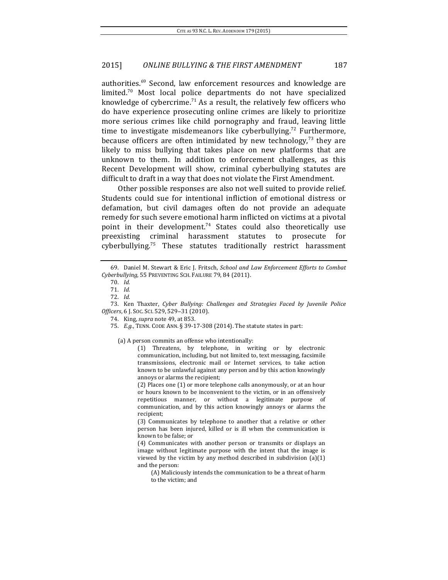authorities.<sup>69</sup> Second, law enforcement resources and knowledge are limited.<sup>70</sup> Most local police departments do not have specialized knowledge of cybercrime.<sup>71</sup> As a result, the relatively few officers who do have experience prosecuting online crimes are likely to prioritize more serious crimes like child pornography and fraud, leaving little time to investigate misdemeanors like cyberbullying.<sup>72</sup> Furthermore, because officers are often intimidated by new technology, $73$  they are likely to miss bullying that takes place on new platforms that are unknown to them. In addition to enforcement challenges, as this Recent Development will show, criminal cyberbullying statutes are difficult to draft in a way that does not violate the First Amendment.

Other possible responses are also not well suited to provide relief. Students could sue for intentional infliction of emotional distress or defamation, but civil damages often do not provide an adequate remedy for such severe emotional harm inflicted on victims at a pivotal point in their development.<sup>74</sup> States could also theoretically use preexisting criminal harassment statutes to prosecute for cyberbullying.<sup>75</sup> These statutes traditionally restrict harassment

(a) A person commits an offense who intentionally:

(1) Threatens, by telephone, in writing or by electronic communication, including, but not limited to, text messaging, facsimile transmissions, electronic mail or Internet services, to take action known to be unlawful against any person and by this action knowingly annoys or alarms the recipient:

(2) Places one (1) or more telephone calls anonymously, or at an hour or hours known to be inconvenient to the victim, or in an offensively repetitious manner, or without a legitimate purpose of communication, and by this action knowingly annoys or alarms the recipient;

(3) Communicates by telephone to another that a relative or other person has been injured, killed or is ill when the communication is known to be false: or

(4) Communicates with another person or transmits or displays an image without legitimate purpose with the intent that the image is viewed by the victim by any method described in subdivision  $(a)(1)$ and the person:

(A) Maliciously intends the communication to be a threat of harm to the victim; and

<sup>69.</sup> Daniel M. Stewart & Eric J. Fritsch, *School and Law Enforcement Efforts to Combat Cyberbullying*, 55 PREVENTING SCH. FAILURE 79, 84 (2011). 

<sup>70.</sup> *Id.*

<sup>71.</sup> *Id.*

<sup>72.</sup> *Id.*

<sup>73.</sup> Ken Thaxter, *Cyber Bullying: Challenges and Strategies Faced by Juvenile Police Officers*, 6 J. Soc. Sci. 529, 529-31 (2010).

<sup>74.</sup> King, *supra* note 49, at 853.

<sup>75.</sup> *E.g.*, TENN. CODE ANN. § 39-17-308 (2014). The statute states in part: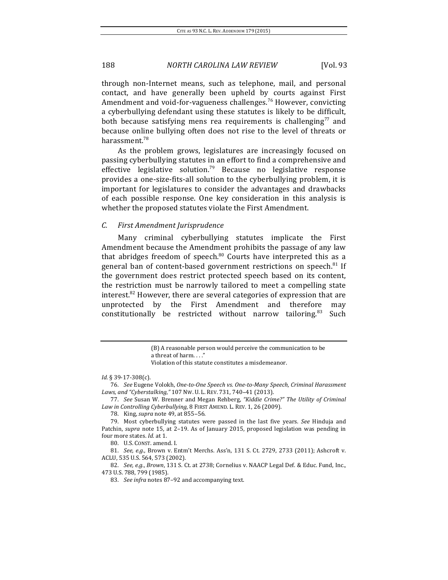through non-Internet means, such as telephone, mail, and personal contact, and have generally been upheld by courts against First Amendment and void-for-vagueness challenges.<sup>76</sup> However, convicting a cyberbullying defendant using these statutes is likely to be difficult, both because satisfying mens rea requirements is challenging<sup>77</sup> and because online bullying often does not rise to the level of threats or harassment.<sup>78</sup>

As the problem grows, legislatures are increasingly focused on passing cyberbullying statutes in an effort to find a comprehensive and effective legislative solution.<sup>79</sup> Because no legislative response provides a one-size-fits-all solution to the cyberbullying problem, it is important for legislatures to consider the advantages and drawbacks of each possible response. One key consideration in this analysis is whether the proposed statutes violate the First Amendment.

## *C. First Amendment Jurisprudence*

Many criminal cyberbullying statutes implicate the First Amendment because the Amendment prohibits the passage of any law that abridges freedom of speech. $80$  Courts have interpreted this as a general ban of content-based government restrictions on speech. $81$  If the government does restrict protected speech based on its content, the restriction must be narrowly tailored to meet a compelling state interest. $82$  However, there are several categories of expression that are unprotected by the First Amendment and therefore may constitutionally be restricted without narrow tailoring.<sup>83</sup> Such

78. King, *supra* note 49, at 855–56.

79. Most cyberbullying statutes were passed in the last five years. See Hinduja and Patchin, *supra* note 15, at 2-19. As of January 2015, proposed legislation was pending in four more states. *Id.* at 1.

80. U.S. CONST. amend. I.

81. *See, e.g.*, Brown v. Entm't Merchs. Ass'n, 131 S. Ct. 2729, 2733 (2011); Ashcroft v. ACLU, 535 U.S. 564, 573 (2002).

82. *See, e.g., Brown,* 131 S. Ct. at 2738; Cornelius v. NAACP Legal Def. & Educ. Fund, Inc., 473 U.S. 788, 799 (1985).

83. *See infra* notes 87-92 and accompanying text.

<sup>(</sup>B) A reasonable person would perceive the communication to be a threat of harm...'

Violation of this statute constitutes a misdemeanor.

*Id.* § 39-17-308(c).

<sup>76.</sup> *See* Eugene Volokh, One-to-One Speech vs. One-to-Many Speech, Criminal Harassment *Laws, and "Cyberstalking,"* 107 Nw. U. L. REV. 731, 740−41 (2013).

<sup>77.</sup> *See* Susan W. Brenner and Megan Rehberg, "Kiddie Crime?" The Utility of Criminal Law in Controlling Cyberbullying, 8 FIRST AMEND. L. REV. 1, 26 (2009).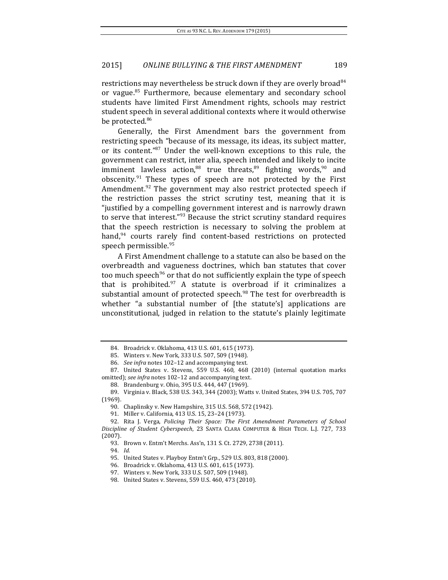restrictions may nevertheless be struck down if they are overly broad<sup>84</sup> or vague.<sup>85</sup> Furthermore, because elementary and secondary school students have limited First Amendment rights, schools may restrict student speech in several additional contexts where it would otherwise be protected.<sup>86</sup>

Generally, the First Amendment bars the government from restricting speech "because of its message, its ideas, its subject matter, or its content."<sup>87</sup> Under the well-known exceptions to this rule, the government can restrict, inter alia, speech intended and likely to incite imminent lawless action,<sup>88</sup> true threats,<sup>89</sup> fighting words,<sup>90</sup> and obscenity. $91$  These types of speech are not protected by the First Amendment.<sup>92</sup> The government may also restrict protected speech if the restriction passes the strict scrutiny test, meaning that it is "justified by a compelling government interest and is narrowly drawn to serve that interest." $93$  Because the strict scrutiny standard requires that the speech restriction is necessary to solving the problem at hand,<sup>94</sup> courts rarely find content-based restrictions on protected speech permissible.<sup>95</sup>

A First Amendment challenge to a statute can also be based on the overbreadth and vagueness doctrines, which ban statutes that cover too much speech<sup>96</sup> or that do not sufficiently explain the type of speech that is prohibited. $97$  A statute is overbroad if it criminalizes a substantial amount of protected speech. $98$  The test for overbreadth is whether "a substantial number of [the statute's] applications are unconstitutional, judged in relation to the statute's plainly legitimate

<sup>84.</sup> Broadrick v. Oklahoma, 413 U.S. 601, 615 (1973).

<sup>85.</sup> Winters v. New York, 333 U.S. 507, 509 (1948).

<sup>86.</sup> *See infra* notes 102-12 and accompanying text.

<sup>87.</sup> United States v. Stevens, 559 U.S. 460, 468 (2010) (internal quotation marks omitted); *see infra* notes 102-12 and accompanying text.

<sup>88.</sup> Brandenburg v. Ohio, 395 U.S. 444, 447 (1969).

<sup>89.</sup> Virginia v. Black, 538 U.S. 343, 344 (2003); Watts v. United States, 394 U.S. 705, 707 (1969).

<sup>90.</sup> Chaplinsky v. New Hampshire, 315 U.S. 568, 572 (1942).

<sup>91.</sup> Miller v. California, 413 U.S. 15, 23-24 (1973).

<sup>92.</sup> Rita J. Verga, *Policing Their Space: The First Amendment Parameters of School Discipline of Student Cyberspeech*, 23 SANTA CLARA COMPUTER & HIGH TECH. L.J. 727, 733 (2007).

<sup>93.</sup> Brown v. Entm't Merchs. Ass'n, 131 S. Ct. 2729, 2738 (2011).

<sup>94.</sup> *Id.*

<sup>95.</sup> United States v. Playboy Entm't Grp., 529 U.S. 803, 818 (2000).

<sup>96.</sup> Broadrick v. Oklahoma, 413 U.S. 601, 615 (1973).

<sup>97.</sup> Winters v. New York, 333 U.S. 507, 509 (1948).

<sup>98.</sup> United States v. Stevens, 559 U.S. 460, 473 (2010).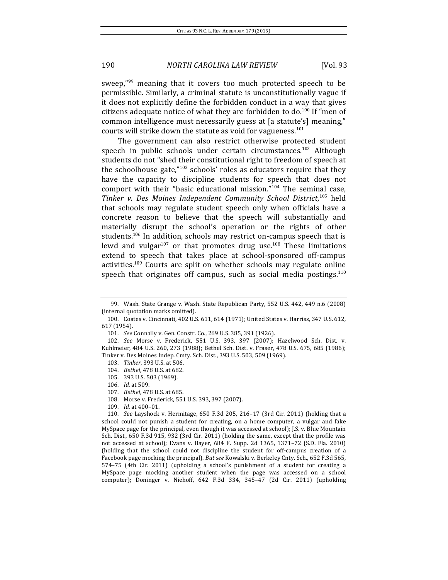sweep, $n_{99}$  meaning that it covers too much protected speech to be permissible. Similarly, a criminal statute is unconstitutionally vague if it does not explicitly define the forbidden conduct in a way that gives citizens adequate notice of what they are forbidden to do.<sup>100</sup> If "men of common intelligence must necessarily guess at [a statute's] meaning," courts will strike down the statute as void for vagueness.<sup>101</sup>

The government can also restrict otherwise protected student speech in public schools under certain circumstances.<sup>102</sup> Although students do not "shed their constitutional right to freedom of speech at the schoolhouse gate," $103$  schools' roles as educators require that they have the capacity to discipline students for speech that does not comport with their "basic educational mission." $104$  The seminal case, Tinker v. Des Moines Independent Community School District,<sup>105</sup> held that schools may regulate student speech only when officials have a concrete reason to believe that the speech will substantially and materially disrupt the school's operation or the rights of other students.<sup>106</sup> In addition, schools may restrict on-campus speech that is lewd and vulgar<sup>107</sup> or that promotes drug use.<sup>108</sup> These limitations extend to speech that takes place at school-sponsored off-campus activities.<sup>109</sup> Courts are split on whether schools may regulate online speech that originates off campus, such as social media postings. $110$ 

<sup>99.</sup> Wash. State Grange v. Wash. State Republican Party, 552 U.S. 442, 449 n.6 (2008) (internal quotation marks omitted).

<sup>100.</sup> Coates v. Cincinnati, 402 U.S. 611, 614 (1971); United States v. Harriss, 347 U.S. 612, 617 (1954).

<sup>101.</sup> *See* Connally v. Gen. Constr. Co., 269 U.S. 385, 391 (1926).

<sup>102.</sup> *See* Morse v. Frederick, 551 U.S. 393, 397 (2007); Hazelwood Sch. Dist. v. Kuhlmeier, 484 U.S. 260, 273 (1988); Bethel Sch. Dist. v. Fraser, 478 U.S. 675, 685 (1986); Tinker v. Des Moines Indep. Cmty. Sch. Dist., 393 U.S. 503, 509 (1969).

<sup>103.</sup> *Tinker*, 393 U.S. at 506.

<sup>104.</sup> *Bethel*, 478 U.S. at 682.

<sup>105. 393</sup> U.S. 503 (1969).

<sup>106.</sup> *Id.* at 509.

<sup>107.</sup> *Bethel*, 478 U.S. at 685.

<sup>108.</sup> Morse v. Frederick, 551 U.S. 393, 397 (2007).

<sup>109.</sup> *Id.* at 400-01.

<sup>110.</sup> *See* Layshock v. Hermitage, 650 F.3d 205, 216–17 (3rd Cir. 2011) (holding that a school could not punish a student for creating, on a home computer, a vulgar and fake MySpace page for the principal, even though it was accessed at school); J.S. v. Blue Mountain Sch. Dist., 650 F.3d 915, 932 (3rd Cir. 2011) (holding the same, except that the profile was not accessed at school); Evans v. Bayer, 684 F. Supp. 2d 1365, 1371-72 (S.D. Fla. 2010) (holding that the school could not discipline the student for off-campus creation of a Facebook page mocking the principal). *But see* Kowalski v. Berkeley Cnty. Sch., 652 F.3d 565, 574-75 (4th Cir. 2011) (upholding a school's punishment of a student for creating a MySpace page mocking another student when the page was accessed on a school computer); Doninger v. Niehoff,  $642$  F.3d 334,  $345-47$  (2d Cir. 2011) (upholding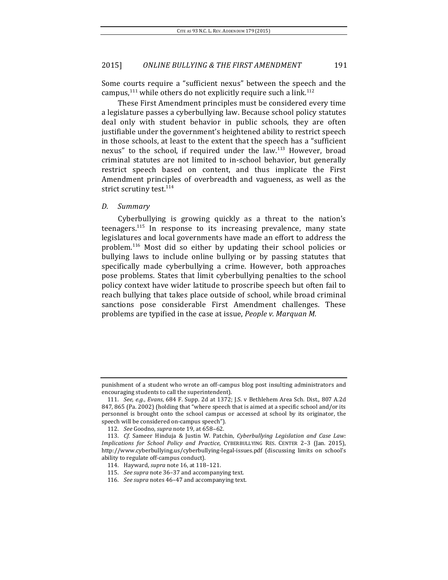Some courts require a "sufficient nexus" between the speech and the campus,  $111$  while others do not explicitly require such a link.  $112$ 

These First Amendment principles must be considered every time a legislature passes a cyberbullying law. Because school policy statutes deal only with student behavior in public schools, they are often justifiable under the government's heightened ability to restrict speech in those schools, at least to the extent that the speech has a "sufficient nexus" to the school, if required under the law.<sup>113</sup> However, broad criminal statutes are not limited to in-school behavior, but generally restrict speech based on content, and thus implicate the First Amendment principles of overbreadth and vagueness, as well as the strict scrutiny test.<sup>114</sup>

### *D. Summary*

Cyberbullying is growing quickly as a threat to the nation's teenagers.<sup>115</sup> In response to its increasing prevalence, many state legislatures and local governments have made an effort to address the problem.<sup>116</sup> Most did so either by updating their school policies or bullying laws to include online bullying or by passing statutes that specifically made cyberbullying a crime. However, both approaches pose problems. States that limit cyberbullying penalties to the school policy context have wider latitude to proscribe speech but often fail to reach bullying that takes place outside of school, while broad criminal sanctions pose considerable First Amendment challenges. These problems are typified in the case at issue, *People v. Marquan M.* 

punishment of a student who wrote an off-campus blog post insulting administrators and encouraging students to call the superintendent).

<sup>111.</sup> *See, e.g., Evans,* 684 F. Supp. 2d at 1372; J.S. v Bethlehem Area Sch. Dist., 807 A.2d 847, 865 (Pa. 2002) (holding that "where speech that is aimed at a specific school and/or its personnel is brought onto the school campus or accessed at school by its originator, the speech will be considered on-campus speech").

<sup>112.</sup> *See* Goodno, *supra* note 19, at 658-62.

<sup>113.</sup> *Cf.* Sameer Hinduja & Justin W. Patchin, *Cyberbullying Legislation and Case Law: Implications for School Policy and Practice*, CYBERBULLYING RES. CENTER 2-3 (Jan. 2015), http://www.cyberbullying.us/cyberbullying-legal-issues.pdf (discussing limits on school's ability to regulate off-campus conduct).

<sup>114.</sup> Hayward, *supra* note 16, at 118-121.

<sup>115.</sup> *See supra* note 36-37 and accompanying text.

<sup>116.</sup> *See supra* notes 46–47 and accompanying text.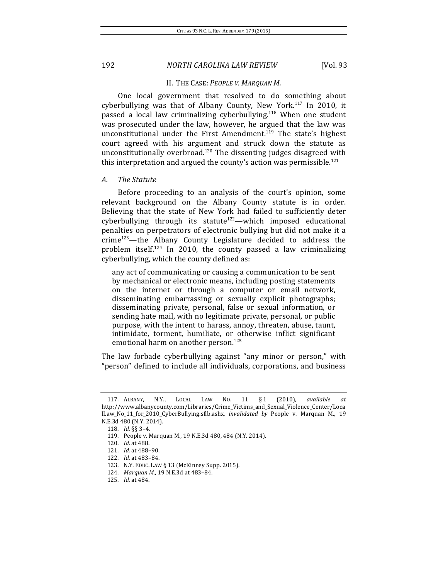#### II. THE CASE: PEOPLE V. MARQUAN M.

One local government that resolved to do something about cyberbullying was that of Albany County, New York.<sup>117</sup> In 2010, it passed a local law criminalizing cyberbullying.<sup>118</sup> When one student was prosecuted under the law, however, he argued that the law was unconstitutional under the First Amendment.<sup>119</sup> The state's highest court agreed with his argument and struck down the statute as unconstitutionally overbroad.<sup>120</sup> The dissenting judges disagreed with this interpretation and argued the county's action was permissible.<sup>121</sup>

### *A. The Statute*

Before proceeding to an analysis of the court's opinion, some relevant background on the Albany County statute is in order. Believing that the state of New York had failed to sufficiently deter cyberbullying through its statute<sup>122</sup>—which imposed educational penalties on perpetrators of electronic bullying but did not make it a  $\text{crime}^{123}$ —the Albany County Legislature decided to address the problem itself.<sup>124</sup> In 2010, the county passed a law criminalizing cyberbullying, which the county defined as:

any act of communicating or causing a communication to be sent by mechanical or electronic means, including posting statements on the internet or through a computer or email network, disseminating embarrassing or sexually explicit photographs; disseminating private, personal, false or sexual information, or sending hate mail, with no legitimate private, personal, or public purpose, with the intent to harass, annoy, threaten, abuse, taunt, intimidate, torment, humiliate, or otherwise inflict significant emotional harm on another person. $125$ 

The law forbade cyberbullying against "any minor or person," with "person" defined to include all individuals, corporations, and business

<sup>117.</sup> ALBANY, N.Y., LOCAL LAW NO. 11 § 1 (2010), *available at*  http://www.albanycounty.com/Libraries/Crime\_Victims\_and\_Sexual\_Violence\_Center/Loca lLaw No 11 for 2010 CyberBullying.sflb.ashx, *invalidated by* People v. Marquan M., 19 N.E.3d 480 (N.Y. 2014).

<sup>118.</sup> *Id.* §§ 3–4.

<sup>119.</sup> People v. Marquan M., 19 N.E.3d 480, 484 (N.Y. 2014).

<sup>120.</sup> *Id.* at 488.

<sup>121.</sup> *Id.* at 488-90.

<sup>122.</sup> *Id.* at 483-84.

<sup>123.</sup> N.Y. EDUC. LAW § 13 (McKinney Supp. 2015).

<sup>124.</sup> *Marquan M.*, 19 N.E.3d at 483-84.

<sup>125.</sup> *Id.* at 484.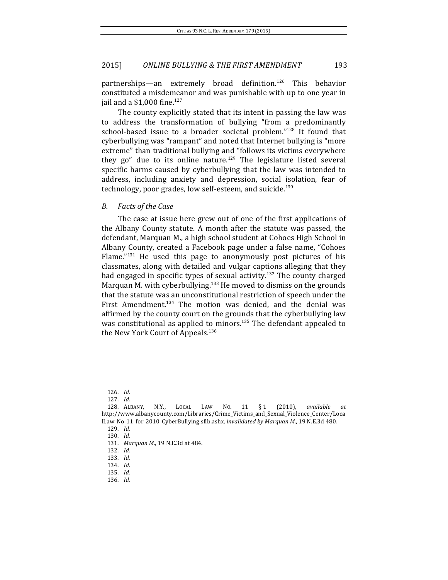partnerships—an extremely broad definition.<sup>126</sup> This behavior constituted a misdemeanor and was punishable with up to one year in jail and a  $$1,000$  fine.<sup>127</sup>

The county explicitly stated that its intent in passing the law was to address the transformation of bullying "from a predominantly school-based issue to a broader societal problem." $128$  It found that cyberbullying was "rampant" and noted that Internet bullying is "more extreme" than traditional bullying and "follows its victims everywhere they go" due to its online nature.<sup>129</sup> The legislature listed several specific harms caused by cyberbullying that the law was intended to address, including anxiety and depression, social isolation, fear of technology, poor grades, low self-esteem, and suicide. $130$ 

#### *B. Facts of the Case*

The case at issue here grew out of one of the first applications of the Albany County statute. A month after the statute was passed, the defendant, Marquan M., a high school student at Cohoes High School in Albany County, created a Facebook page under a false name, "Cohoes Flame." $131$  He used this page to anonymously post pictures of his classmates, along with detailed and vulgar captions alleging that they had engaged in specific types of sexual activity.<sup>132</sup> The county charged Marquan M. with cyberbullying.<sup>133</sup> He moved to dismiss on the grounds that the statute was an unconstitutional restriction of speech under the First Amendment.<sup>134</sup> The motion was denied, and the denial was affirmed by the county court on the grounds that the cyberbullying law was constitutional as applied to minors.<sup>135</sup> The defendant appealed to the New York Court of Appeals.<sup>136</sup>

<sup>126.</sup> *Id.*

<sup>127.</sup> *Id.*

<sup>128.</sup> ALBANY, N.Y., LOCAL LAW NO. 11 § 1 (2010), *available at*  http://www.albanycounty.com/Libraries/Crime\_Victims\_and\_Sexual\_Violence\_Center/Loca lLaw\_No\_11\_for\_2010\_CyberBullying.sflb.ashx, *invalidated by Marquan M.*, 19 N.E.3d 480. 129. *Id.*

<sup>130.</sup> *Id.*

<sup>131.</sup> *Marquan M.*, 19 N.E.3d at 484.

<sup>132.</sup> *Id.*

<sup>133.</sup> *Id.*

<sup>134.</sup> *Id.*

<sup>135.</sup> *Id.*

<sup>136.</sup> *Id.*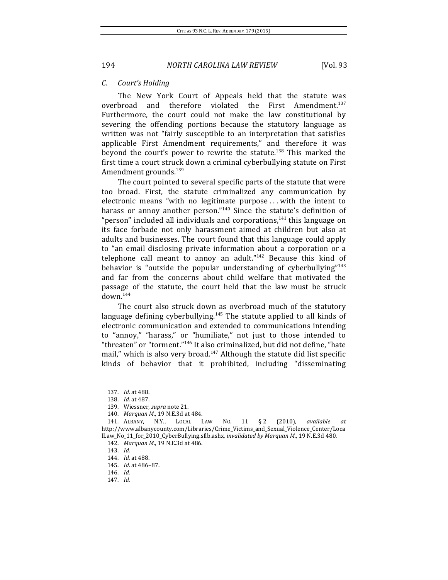#### *C. Court's Holding*

The New York Court of Appeals held that the statute was overbroad and therefore violated the First Amendment.<sup>137</sup> Furthermore, the court could not make the law constitutional by severing the offending portions because the statutory language as written was not "fairly susceptible to an interpretation that satisfies applicable First Amendment requirements," and therefore it was beyond the court's power to rewrite the statute.<sup>138</sup> This marked the first time a court struck down a criminal cyberbullying statute on First Amendment grounds.<sup>139</sup>

The court pointed to several specific parts of the statute that were too broad. First, the statute criminalized any communication by electronic means "with no legitimate purpose ... with the intent to harass or annoy another person." $140$  Since the statute's definition of "person" included all individuals and corporations, $141$  this language on its face forbade not only harassment aimed at children but also at adults and businesses. The court found that this language could apply to "an email disclosing private information about a corporation or a telephone call meant to annoy an adult." $142$  Because this kind of behavior is "outside the popular understanding of cyberbullying"<sup>143</sup> and far from the concerns about child welfare that motivated the passage of the statute, the court held that the law must be struck  $down.<sup>144</sup>$ 

The court also struck down as overbroad much of the statutory language defining cyberbullying. $145$  The statute applied to all kinds of electronic communication and extended to communications intending to "annoy," "harass," or "humiliate," not just to those intended to "threaten" or "torment."<sup>146</sup> It also criminalized, but did not define, "hate mail," which is also very broad. $147$  Although the statute did list specific kinds of behavior that it prohibited, including "disseminating

<sup>137.</sup> *Id.* at 488.

<sup>138.</sup> *Id.* at 487.

<sup>139.</sup> Wiessner, *supra* note 21.

<sup>140.</sup> *Marquan M.*, 19 N.E.3d at 484.

<sup>141.</sup> ALBANY, N.Y., LOCAL LAW NO. 11 § 2 (2010), *available at*  http://www.albanycounty.com/Libraries/Crime\_Victims\_and\_Sexual\_Violence\_Center/Loca lLaw\_No\_11\_for\_2010\_CyberBullying.sflb.ashx, *invalidated by Marquan M.*, 19 N.E.3d 480.

<sup>142.</sup> *Marquan M.*, 19 N.E.3d at 486.

<sup>143.</sup> *Id.*

<sup>144.</sup> *Id.* at 488.

<sup>145.</sup> *Id.* at 486-87.

<sup>146.</sup> *Id.*

<sup>147.</sup> *Id.*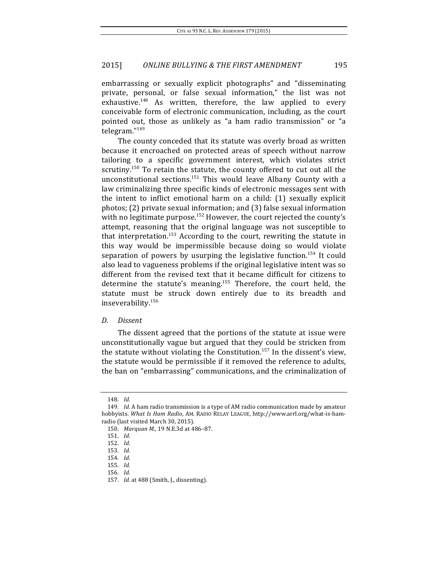embarrassing or sexually explicit photographs" and "disseminating private, personal, or false sexual information," the list was not exhaustive.<sup>148</sup> As written, therefore, the law applied to every conceivable form of electronic communication, including, as the court pointed out, those as unlikely as "a ham radio transmission" or "a telegram."149

The county conceded that its statute was overly broad as written because it encroached on protected areas of speech without narrow tailoring to a specific government interest, which violates strict scrutiny.<sup>150</sup> To retain the statute, the county offered to cut out all the unconstitutional sections.<sup>151</sup> This would leave Albany County with a law criminalizing three specific kinds of electronic messages sent with the intent to inflict emotional harm on a child:  $(1)$  sexually explicit photos;  $(2)$  private sexual information; and  $(3)$  false sexual information with no legitimate purpose.<sup>152</sup> However, the court rejected the county's attempt, reasoning that the original language was not susceptible to that interpretation.<sup>153</sup> According to the court, rewriting the statute in this way would be impermissible because doing so would violate separation of powers by usurping the legislative function.<sup>154</sup> It could also lead to vagueness problems if the original legislative intent was so different from the revised text that it became difficult for citizens to determine the statute's meaning.<sup>155</sup> Therefore, the court held, the statute must be struck down entirely due to its breadth and inseverability.156

#### *D. Dissent*

The dissent agreed that the portions of the statute at issue were unconstitutionally vague but argued that they could be stricken from the statute without violating the Constitution.<sup>157</sup> In the dissent's view, the statute would be permissible if it removed the reference to adults, the ban on "embarrassing" communications, and the criminalization of

<sup>148.</sup> *Id.*

<sup>149.</sup> *Id.* A ham radio transmission is a type of AM radio communication made by amateur hobbyists. What Is Ham Radio, AM. RADIO RELAY LEAGUE, http://www.arrl.org/what-is-hamradio (last visited March 30, 2015).

<sup>150.</sup> *Marquan M.*, 19 N.E.3d at 486-87.

<sup>151.</sup> *Id.*

<sup>152.</sup> *Id.*

<sup>153.</sup> *Id.*

<sup>154.</sup> *Id.*

<sup>155.</sup> *Id.*

<sup>156.</sup> *Id.*

<sup>157.</sup> *Id.* at 488 (Smith, J., dissenting).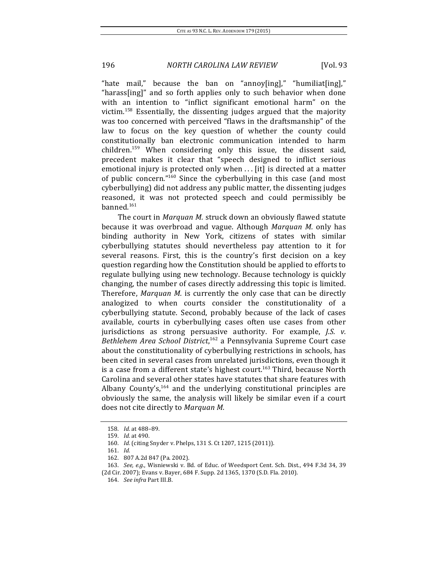"hate mail," because the ban on "annoy[ing]," "humiliat[ing]," "harass[ing]" and so forth applies only to such behavior when done with an intention to "inflict significant emotional harm" on the victim.<sup>158</sup> Essentially, the dissenting judges argued that the majority was too concerned with perceived "flaws in the draftsmanship" of the law to focus on the key question of whether the county could constitutionally ban electronic communication intended to harm children.<sup>159</sup> When considering only this issue, the dissent said, precedent makes it clear that "speech designed to inflict serious emotional injury is protected only when  $\dots$  [it] is directed at a matter of public concern." $160$  Since the cyberbullying in this case (and most cyberbullying) did not address any public matter, the dissenting judges reasoned, it was not protected speech and could permissibly be banned.161

The court in *Marquan M.* struck down an obviously flawed statute because it was overbroad and vague. Although *Marquan M.* only has binding authority in New York, citizens of states with similar cyberbullying statutes should nevertheless pay attention to it for several reasons. First, this is the country's first decision on a key question regarding how the Constitution should be applied to efforts to regulate bullying using new technology. Because technology is quickly changing, the number of cases directly addressing this topic is limited. Therefore, *Marquan M.* is currently the only case that can be directly analogized to when courts consider the constitutionality of a cyberbullying statute. Second, probably because of the lack of cases available, courts in cyberbullying cases often use cases from other jurisdictions as strong persuasive authority. For example, *J.S. v.* Bethlehem Area School District,<sup>162</sup> a Pennsylvania Supreme Court case about the constitutionality of cyberbullying restrictions in schools, has been cited in several cases from unrelated jurisdictions, even though it is a case from a different state's highest court.<sup>163</sup> Third, because North Carolina and several other states have statutes that share features with Albany County's, $164$  and the underlying constitutional principles are obviously the same, the analysis will likely be similar even if a court does not cite directly to *Marquan M.* 

<sup>158.</sup> *Id.* at 488-89.

<sup>159.</sup> *Id.* at 490.

<sup>160.</sup> *Id.* (citing Snyder v. Phelps, 131 S. Ct 1207, 1215 (2011)).

<sup>161.</sup> *Id.*

<sup>162.</sup> 807 A.2d 847 (Pa. 2002).

<sup>163.</sup> *See, e.g.*, Wisniewski v. Bd. of Educ. of Weedsport Cent. Sch. Dist., 494 F.3d 34, 39

<sup>(2</sup>d Cir. 2007); Evans v. Bayer, 684 F. Supp. 2d 1365, 1370 (S.D. Fla. 2010).

<sup>164.</sup> *See infra Part III.B.*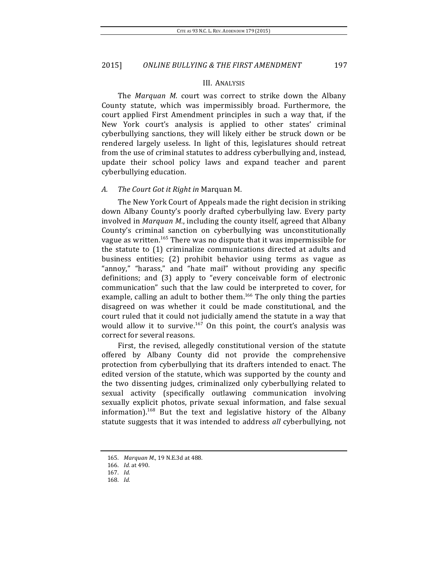#### III. ANALYSIS

The *Marquan M.* court was correct to strike down the Albany County statute, which was impermissibly broad. Furthermore, the court applied First Amendment principles in such a way that, if the New York court's analysis is applied to other states' criminal cyberbullying sanctions, they will likely either be struck down or be rendered largely useless. In light of this, legislatures should retreat from the use of criminal statutes to address cyberbullying and, instead, update their school policy laws and expand teacher and parent cyberbullying education.

### A. The Court Got it Right in Marquan M.

The New York Court of Appeals made the right decision in striking down Albany County's poorly drafted cyberbullying law. Every party involved in *Marquan M.*, including the county itself, agreed that Albany County's criminal sanction on cyberbullying was unconstitutionally vague as written.<sup>165</sup> There was no dispute that it was impermissible for the statute to (1) criminalize communications directed at adults and business entities; (2) prohibit behavior using terms as vague as "annoy," "harass," and "hate mail" without providing any specific definitions; and (3) apply to "every conceivable form of electronic communication" such that the law could be interpreted to cover, for example, calling an adult to bother them.<sup>166</sup> The only thing the parties disagreed on was whether it could be made constitutional, and the court ruled that it could not judicially amend the statute in a way that would allow it to survive.<sup>167</sup> On this point, the court's analysis was correct for several reasons.

First, the revised, allegedly constitutional version of the statute offered by Albany County did not provide the comprehensive protection from cyberbullying that its drafters intended to enact. The edited version of the statute, which was supported by the county and the two dissenting judges, criminalized only cyberbullying related to sexual activity (specifically outlawing communication involving sexually explicit photos, private sexual information, and false sexual information).<sup>168</sup> But the text and legislative history of the Albany statute suggests that it was intended to address *all* cyberbullying, not

<sup>165.</sup> *Marquan M.*, 19 N.E.3d at 488.

<sup>166.</sup> *Id.* at 490.

<sup>167.</sup> *Id.*

<sup>168.</sup> *Id.*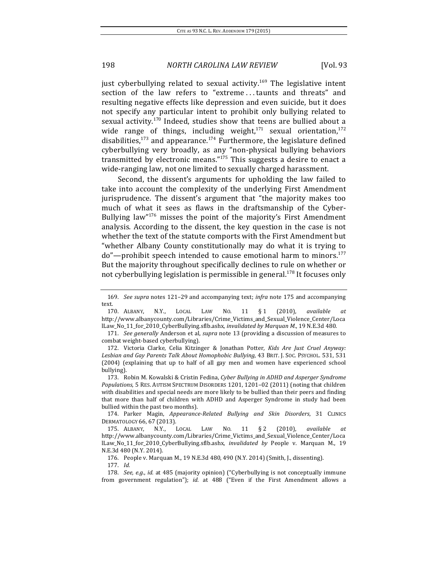just cyberbullying related to sexual activity.<sup>169</sup> The legislative intent section of the law refers to "extreme ... taunts and threats" and resulting negative effects like depression and even suicide, but it does not specify any particular intent to prohibit only bullying related to sexual activity.<sup>170</sup> Indeed, studies show that teens are bullied about a wide range of things, including weight,<sup>171</sup> sexual orientation,<sup>172</sup> disabilities,<sup>173</sup> and appearance.<sup>174</sup> Furthermore, the legislature defined cyberbullying very broadly, as any "non-physical bullying behaviors transmitted by electronic means."<sup>175</sup> This suggests a desire to enact a wide-ranging law, not one limited to sexually charged harassment.

Second, the dissent's arguments for upholding the law failed to take into account the complexity of the underlying First Amendment jurisprudence. The dissent's argument that "the majority makes too much of what it sees as flaws in the draftsmanship of the Cyber-Bullying law" $176$  misses the point of the majority's First Amendment analysis. According to the dissent, the key question in the case is not whether the text of the statute comports with the First Amendment but "whether Albany County constitutionally may do what it is trying to  $do''$ —prohibit speech intended to cause emotional harm to minors.<sup>177</sup> But the majority throughout specifically declines to rule on whether or not cyberbullying legislation is permissible in general.<sup>178</sup> It focuses only

171. *See generally* Anderson et al, *supra* note 13 (providing a discussion of measures to combat weight-based cyberbullying).

172. Victoria Clarke, Celia Kitzinger & Jonathan Potter, *Kids Are Just Cruel Anyway:* Lesbian and Gay Parents Talk About Homophobic Bullying, 43 BRIT. J. Soc. PSYCHOL. 531, 531 (2004) (explaining that up to half of all gay men and women have experienced school bullying).

173. Robin M. Kowalski & Cristin Fedina, *Cyber Bullying in ADHD and Asperger Syndrome Populations*, 5 RES. AUTISM SPECTRUM DISORDERS 1201, 1201–02 (2011) (noting that children with disabilities and special needs are more likely to be bullied than their peers and finding that more than half of children with ADHD and Asperger Syndrome in study had been bullied within the past two months).

174. Parker Magin, *Appearance-Related Bullying and Skin Disorders*, 31 CLINICS DERMATOLOGY 66, 67 (2013).

175. ALBANY, N.Y., LOCAL LAW NO. 11 § 2 (2010), *available at*  http://www.albanycounty.com/Libraries/Crime\_Victims\_and\_Sexual\_Violence\_Center/Loca lLaw\_No\_11\_for\_2010\_CyberBullying.sflb.ashx, *invalidated by* People v. Marquan M., 19 N.E.3d 480 (N.Y. 2014).

176. People v. Marquan M., 19 N.E.3d 480, 490 (N.Y. 2014) (Smith, J., dissenting).

178. *See, e.g., id.* at 485 (majority opinion) ("Cyberbullying is not conceptually immune from government regulation"); *id.* at 488 ("Even if the First Amendment allows a

<sup>169.</sup> *See supra* notes 121–29 and accompanying text; *infra* note 175 and accompanying text.

<sup>170.</sup> ALBANY, N.Y., LOCAL LAW NO. 11 § 1 (2010), *available at*  http://www.albanycounty.com/Libraries/Crime\_Victims\_and\_Sexual\_Violence\_Center/Loca lLaw\_No\_11\_for\_2010\_CyberBullying.sflb.ashx, *invalidated by Marquan M.*, 19 N.E.3d 480.

<sup>177.</sup> *Id.*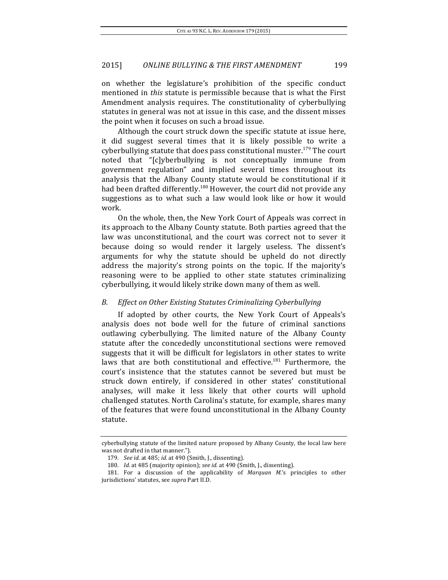on whether the legislature's prohibition of the specific conduct mentioned in *this* statute is permissible because that is what the First Amendment analysis requires. The constitutionality of cyberbullying statutes in general was not at issue in this case, and the dissent misses the point when it focuses on such a broad issue.

Although the court struck down the specific statute at issue here, it did suggest several times that it is likely possible to write a cyberbullying statute that does pass constitutional muster.<sup>179</sup> The court noted that "[c]yberbullying is not conceptually immune from government regulation" and implied several times throughout its analysis that the Albany County statute would be constitutional if it had been drafted differently.<sup>180</sup> However, the court did not provide any suggestions as to what such a law would look like or how it would work.

On the whole, then, the New York Court of Appeals was correct in its approach to the Albany County statute. Both parties agreed that the law was unconstitutional, and the court was correct not to sever it because doing so would render it largely useless. The dissent's arguments for why the statute should be upheld do not directly address the majority's strong points on the topic. If the majority's reasoning were to be applied to other state statutes criminalizing cyberbullying, it would likely strike down many of them as well.

### *B. Effect on Other Existing Statutes Criminalizing Cyberbullying*

If adopted by other courts, the New York Court of Appeals's analysis does not bode well for the future of criminal sanctions outlawing cyberbullying. The limited nature of the Albany County statute after the concededly unconstitutional sections were removed suggests that it will be difficult for legislators in other states to write laws that are both constitutional and effective. $181$  Furthermore, the court's insistence that the statutes cannot be severed but must be struck down entirely, if considered in other states' constitutional analyses, will make it less likely that other courts will uphold challenged statutes. North Carolina's statute, for example, shares many of the features that were found unconstitutional in the Albany County statute.

cyberbullying statute of the limited nature proposed by Albany County, the local law here was not drafted in that manner.").

<sup>179.</sup> *See id.* at 485; *id.* at 490 (Smith, J., dissenting).

<sup>180.</sup> *Id.* at 485 (majority opinion); see id. at 490 (Smith, J., dissenting).

<sup>181.</sup> For a discussion of the applicability of *Marquan M.*'s principles to other jurisdictions' statutes, see *supra* Part II.D.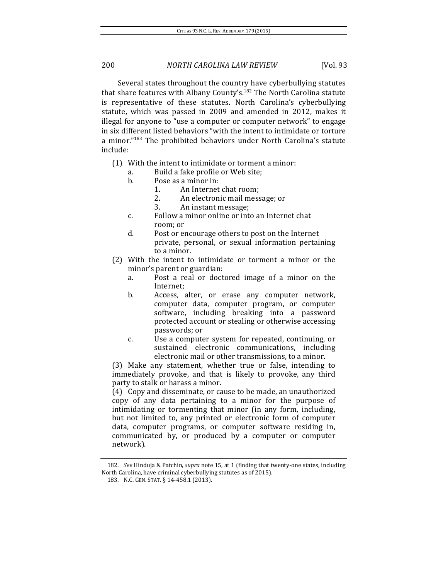Several states throughout the country have cyberbullying statutes that share features with Albany County's.<sup>182</sup> The North Carolina statute is representative of these statutes. North Carolina's cyberbullying statute, which was passed in 2009 and amended in 2012, makes it illegal for anyone to "use a computer or computer network" to engage in six different listed behaviors "with the intent to intimidate or torture a minor." $183$  The prohibited behaviors under North Carolina's statute include:

- $(1)$  With the intent to intimidate or torment a minor:
	- a. Build a fake profile or Web site;
	- b. Pose as a minor in:
		- 1. An Internet chat room:
			- 2. An electronic mail message; or
			- 3. An instant message;
	- c. Follow a minor online or into an Internet chat room; or
	- d. Post or encourage others to post on the Internet private, personal, or sexual information pertaining to a minor.
- (2) With the intent to intimidate or torment a minor or the minor's parent or guardian:
	- a. Post a real or doctored image of a minor on the Internet;
	- b. Access, alter, or erase any computer network, computer data, computer program, or computer software, including breaking into a password protected account or stealing or otherwise accessing passwords; or
	- c. Use a computer system for repeated, continuing, or sustained electronic communications, including electronic mail or other transmissions, to a minor.

(3) Make any statement, whether true or false, intending to immediately provoke, and that is likely to provoke, any third party to stalk or harass a minor.

(4) Copy and disseminate, or cause to be made, an unauthorized copy of any data pertaining to a minor for the purpose of intimidating or tormenting that minor (in any form, including, but not limited to, any printed or electronic form of computer data, computer programs, or computer software residing in, communicated by, or produced by a computer or computer network).

<sup>182.</sup> *See* Hinduja & Patchin, *supra* note 15, at 1 (finding that twenty-one states, including North Carolina, have criminal cyberbullying statutes as of 2015).

<sup>183.</sup> N.C. GEN. STAT. § 14-458.1 (2013).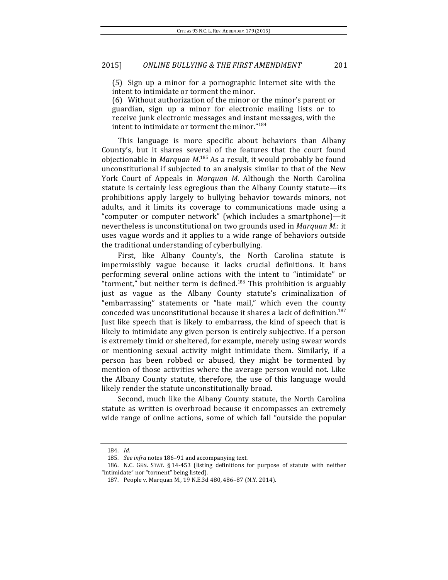$(5)$  Sign up a minor for a pornographic Internet site with the intent to intimidate or torment the minor.

(6) Without authorization of the minor or the minor's parent or guardian, sign up a minor for electronic mailing lists or to receive junk electronic messages and instant messages, with the intent to intimidate or torment the minor."<sup>184</sup>

This language is more specific about behaviors than Albany County's, but it shares several of the features that the court found objectionable in *Marquan M*.<sup>185</sup> As a result, it would probably be found unconstitutional if subjected to an analysis similar to that of the New York Court of Appeals in *Marquan M.* Although the North Carolina statute is certainly less egregious than the Albany County statute-its prohibitions apply largely to bullying behavior towards minors, not adults, and it limits its coverage to communications made using a "computer or computer network" (which includes a smartphone)-it nevertheless is unconstitutional on two grounds used in *Marquan M.*: it uses vague words and it applies to a wide range of behaviors outside the traditional understanding of cyberbullying.

First, like Albany County's, the North Carolina statute is impermissibly vague because it lacks crucial definitions. It bans performing several online actions with the intent to "intimidate" or "torment," but neither term is defined.<sup>186</sup> This prohibition is arguably just as vague as the Albany County statute's criminalization of "embarrassing" statements or "hate mail," which even the county conceded was unconstitutional because it shares a lack of definition.<sup>187</sup> Just like speech that is likely to embarrass, the kind of speech that is likely to intimidate any given person is entirely subjective. If a person is extremely timid or sheltered, for example, merely using swear words or mentioning sexual activity might intimidate them. Similarly, if a person has been robbed or abused, they might be tormented by mention of those activities where the average person would not. Like the Albany County statute, therefore, the use of this language would likely render the statute unconstitutionally broad.

Second, much like the Albany County statute, the North Carolina statute as written is overbroad because it encompasses an extremely wide range of online actions, some of which fall "outside the popular

<sup>184.</sup> *Id.*

<sup>185.</sup> *See infra* notes 186-91 and accompanying text.

<sup>186.</sup> N.C. GEN. STAT. § 14-453 (listing definitions for purpose of statute with neither "intimidate" nor "torment" being listed).

<sup>187.</sup> People v. Marquan M., 19 N.E.3d 480, 486-87 (N.Y. 2014).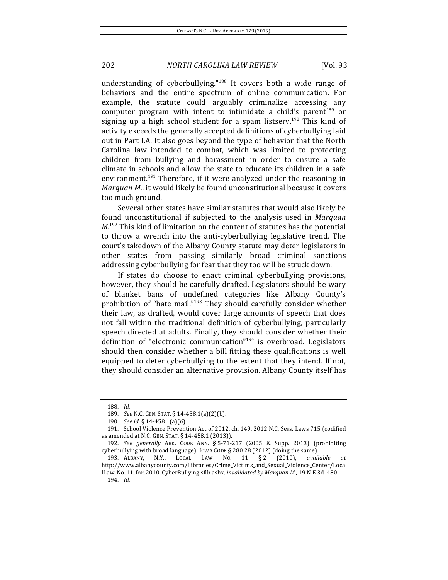understanding of cyberbullying."<sup>188</sup> It covers both a wide range of behaviors and the entire spectrum of online communication. For example, the statute could arguably criminalize accessing any computer program with intent to intimidate a child's parent<sup>189</sup> or signing up a high school student for a spam listserv.<sup>190</sup> This kind of activity exceeds the generally accepted definitions of cyberbullying laid out in Part I.A. It also goes beyond the type of behavior that the North Carolina law intended to combat, which was limited to protecting children from bullying and harassment in order to ensure a safe climate in schools and allow the state to educate its children in a safe environment.<sup>191</sup> Therefore, if it were analyzed under the reasoning in *Marquan M.*, it would likely be found unconstitutional because it covers too much ground.

Several other states have similar statutes that would also likely be found unconstitutional if subjected to the analysis used in Marquan  $M<sup>192</sup>$  This kind of limitation on the content of statutes has the potential to throw a wrench into the anti-cyberbullying legislative trend. The court's takedown of the Albany County statute may deter legislators in other states from passing similarly broad criminal sanctions addressing cyberbullying for fear that they too will be struck down.

If states do choose to enact criminal cyberbullying provisions, however, they should be carefully drafted. Legislators should be wary of blanket bans of undefined categories like Albany County's prohibition of "hate mail."<sup>193</sup> They should carefully consider whether their law, as drafted, would cover large amounts of speech that does not fall within the traditional definition of cyberbullying, particularly speech directed at adults. Finally, they should consider whether their definition of "electronic communication"<sup>194</sup> is overbroad. Legislators should then consider whether a bill fitting these qualifications is well equipped to deter cyberbullying to the extent that they intend. If not, they should consider an alternative provision. Albany County itself has

<sup>188.</sup> *Id.*

<sup>189.</sup> *See* N.C. GEN. STAT. § 14-458.1(a)(2)(b).

<sup>190.</sup> *See id.* § 14-458.1(a)(6).

<sup>191.</sup> School Violence Prevention Act of 2012, ch. 149, 2012 N.C. Sess. Laws 715 (codified as amended at N.C. GEN. STAT. § 14-458.1 (2013)).

<sup>192.</sup> *See generally* ARK. CODE ANN. § 5-71-217 (2005 & Supp. 2013) (prohibiting cyberbullying with broad language); IOWA CODE § 280.28 (2012) (doing the same).

<sup>193.</sup> ALBANY, N.Y., LOCAL LAW NO. 11 § 2 (2010), *available at*  http://www.albanycounty.com/Libraries/Crime\_Victims\_and\_Sexual\_Violence\_Center/Loca

lLaw\_No\_11\_for\_2010\_CyberBullying.sflb.ashx, *invalidated by Marquan M.*, 19 N.E.3d. 480. 194. *Id.*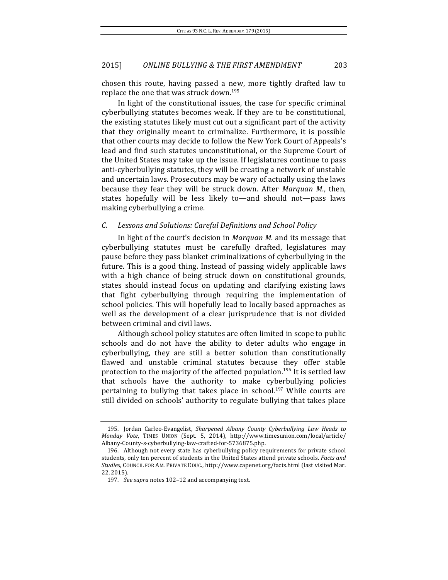chosen this route, having passed a new, more tightly drafted law to replace the one that was struck down.<sup>195</sup>

In light of the constitutional issues, the case for specific criminal cyberbullying statutes becomes weak. If they are to be constitutional, the existing statutes likely must cut out a significant part of the activity that they originally meant to criminalize. Furthermore, it is possible that other courts may decide to follow the New York Court of Appeals's lead and find such statutes unconstitutional, or the Supreme Court of the United States may take up the issue. If legislatures continue to pass anti-cyberbullying statutes, they will be creating a network of unstable and uncertain laws. Prosecutors may be wary of actually using the laws because they fear they will be struck down. After *Marquan M.*, then, states hopefully will be less likely to—and should not—pass laws making cyberbullying a crime.

# *C. Lessons and Solutions: Careful Definitions and School Policy*

In light of the court's decision in *Marquan M.* and its message that cyberbullying statutes must be carefully drafted, legislatures may pause before they pass blanket criminalizations of cyberbullying in the future. This is a good thing. Instead of passing widely applicable laws with a high chance of being struck down on constitutional grounds, states should instead focus on updating and clarifying existing laws that fight cyberbullying through requiring the implementation of school policies. This will hopefully lead to locally based approaches as well as the development of a clear jurisprudence that is not divided between criminal and civil laws.

Although school policy statutes are often limited in scope to public schools and do not have the ability to deter adults who engage in cyberbullying, they are still a better solution than constitutionally flawed and unstable criminal statutes because they offer stable protection to the majority of the affected population.<sup>196</sup> It is settled law that schools have the authority to make cyberbullying policies pertaining to bullying that takes place in school.<sup>197</sup> While courts are still divided on schools' authority to regulate bullying that takes place

<sup>195.</sup> Jordan Carleo-Evangelist, *Sharpened Albany County Cyberbullying Law Heads to Monday Vote*, TIMES UNION (Sept. 5, 2014), http://www.timesunion.com/local/article/ Albany-County-s-cyberbullying-law-crafted-for-5736875.php.

<sup>196.</sup> Although not every state has cyberbullying policy requirements for private school students, only ten percent of students in the United States attend private schools. Facts and Studies, COUNCIL FOR AM. PRIVATE EDUC., http://www.capenet.org/facts.html (last visited Mar. 22, 2015). 

<sup>197.</sup> See supra notes 102-12 and accompanying text.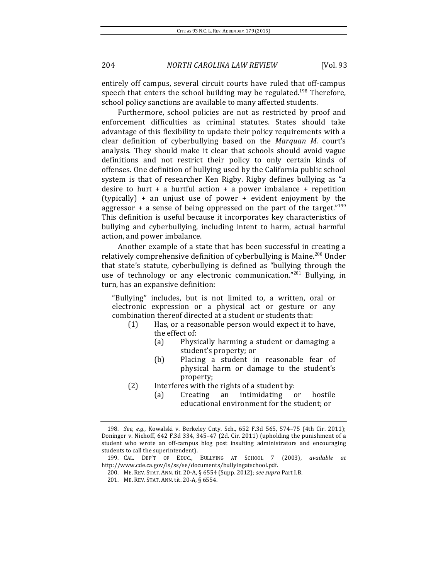entirely off campus, several circuit courts have ruled that off-campus speech that enters the school building may be regulated.<sup>198</sup> Therefore, school policy sanctions are available to many affected students.

Furthermore, school policies are not as restricted by proof and enforcement difficulties as criminal statutes. States should take advantage of this flexibility to update their policy requirements with a clear definition of cyberbullying based on the *Marquan M.* court's analysis. They should make it clear that schools should avoid vague definitions and not restrict their policy to only certain kinds of offenses. One definition of bullying used by the California public school system is that of researcher Ken Rigby. Rigby defines bullying as "a desire to hurt  $+$  a hurtful action  $+$  a power imbalance  $+$  repetition (typically)  $+$  an unjust use of power  $+$  evident enjoyment by the aggressor + a sense of being oppressed on the part of the target."<sup>199</sup> This definition is useful because it incorporates key characteristics of bullying and cyberbullying, including intent to harm, actual harmful action, and power imbalance.

Another example of a state that has been successful in creating a relatively comprehensive definition of cyberbullying is Maine.<sup>200</sup> Under that state's statute, cyberbullying is defined as "bullying through the use of technology or any electronic communication."<sup>201</sup> Bullying, in turn, has an expansive definition:

"Bullying" includes, but is not limited to, a written, oral or electronic expression or a physical act or gesture or any combination thereof directed at a student or students that:

- $(1)$  Has, or a reasonable person would expect it to have, the effect of:
	- (a) Physically harming a student or damaging a student's property; or
	- (b) Placing a student in reasonable fear of physical harm or damage to the student's property;
- $(2)$  Interferes with the rights of a student by:
	- (a) Creating an intimidating or hostile educational environment for the student; or

<sup>198.</sup> *See, e.g.*, Kowalski v. Berkeley Cnty. Sch., 652 F.3d 565, 574-75 (4th Cir. 2011); Doninger v. Niehoff, 642 F.3d 334, 345-47 (2d. Cir. 2011) (upholding the punishment of a student who wrote an off-campus blog post insulting administrators and encouraging students to call the superintendent).

<sup>199.</sup> CAL. DEP'T OF EDUC., BULLYING AT SCHOOL 7 (2003), available at http://www.cde.ca.gov/ls/ss/se/documents/bullyingatschool.pdf.

<sup>200.</sup> ME. REV. STAT. ANN. tit. 20-A, § 6554 (Supp. 2012); see *supra* Part I.B.

<sup>201.</sup> ME. REV. STAT. ANN. tit. 20-A, § 6554.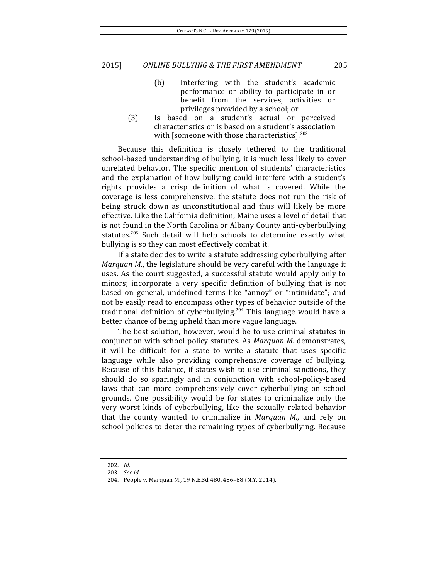- (b) Interfering with the student's academic performance or ability to participate in or benefit from the services, activities or privileges provided by a school; or
- (3) Is based on a student's actual or perceived characteristics or is based on a student's association with [someone with those characteristics].<sup>202</sup>

Because this definition is closely tethered to the traditional school-based understanding of bullying, it is much less likely to cover unrelated behavior. The specific mention of students' characteristics and the explanation of how bullying could interfere with a student's rights provides a crisp definition of what is covered. While the coverage is less comprehensive, the statute does not run the risk of being struck down as unconstitutional and thus will likely be more effective. Like the California definition, Maine uses a level of detail that is not found in the North Carolina or Albany County anti-cyberbullying statutes.<sup>203</sup> Such detail will help schools to determine exactly what bullying is so they can most effectively combat it.

If a state decides to write a statute addressing cyberbullying after *Marquan M.*, the legislature should be very careful with the language it uses. As the court suggested, a successful statute would apply only to minors; incorporate a very specific definition of bullying that is not based on general, undefined terms like "annoy" or "intimidate"; and not be easily read to encompass other types of behavior outside of the traditional definition of cyberbullying.<sup>204</sup> This language would have a better chance of being upheld than more vague language.

The best solution, however, would be to use criminal statutes in conjunction with school policy statutes. As *Marquan M.* demonstrates, it will be difficult for a state to write a statute that uses specific language while also providing comprehensive coverage of bullying. Because of this balance, if states wish to use criminal sanctions, they should do so sparingly and in conjunction with school-policy-based laws that can more comprehensively cover cyberbullying on school grounds. One possibility would be for states to criminalize only the very worst kinds of cyberbullying, like the sexually related behavior that the county wanted to criminalize in *Marquan M.*, and rely on school policies to deter the remaining types of cyberbullying. Because

<sup>202.</sup> *Id.*

<sup>203.</sup> *See id.*

<sup>204.</sup> People v. Marquan M., 19 N.E.3d 480, 486-88 (N.Y. 2014).